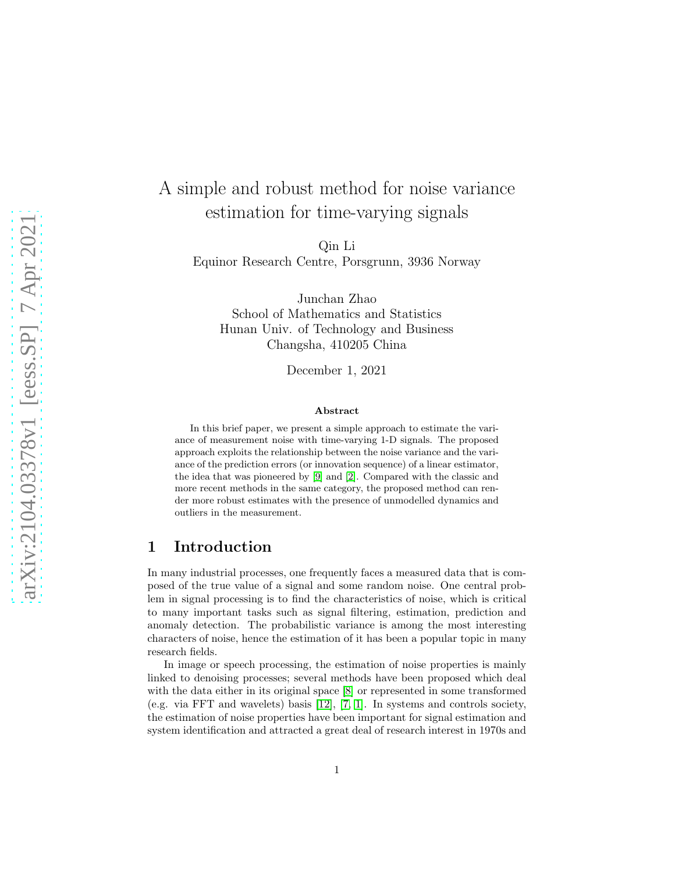# A simple and robust method for noise variance estimation for time-varying signals

Qin Li

Equinor Research Centre, Porsgrunn, 3936 Norway

Junchan Zhao School of Mathematics and Statistics Hunan Univ. of Technology and Business Changsha, 410205 China

December 1, 2021

#### Abstract

In this brief paper, we present a simple approach to estimate the variance of measurement noise with time-varying 1-D signals. The proposed approach exploits the relationship between the noise variance and the variance of the prediction errors (or innovation sequence) of a linear estimator, the idea that was pioneered by [\[9\]](#page-9-0) and [\[2\]](#page-9-1). Compared with the classic and more recent methods in the same category, the proposed method can render more robust estimates with the presence of unmodelled dynamics and outliers in the measurement.

### 1 Introduction

In many industrial processes, one frequently faces a measured data that is composed of the true value of a signal and some random noise. One central problem in signal processing is to find the characteristics of noise, which is critical to many important tasks such as signal filtering, estimation, prediction and anomaly detection. The probabilistic variance is among the most interesting characters of noise, hence the estimation of it has been a popular topic in many research fields.

In image or speech processing, the estimation of noise properties is mainly linked to denoising processes; several methods have been proposed which deal with the data either in its original space [\[8\]](#page-9-2) or represented in some transformed (e.g. via FFT and wavelets) basis [\[12\]](#page-9-3), [\[7,](#page-9-4) [1\]](#page-8-0). In systems and controls society, the estimation of noise properties have been important for signal estimation and system identification and attracted a great deal of research interest in 1970s and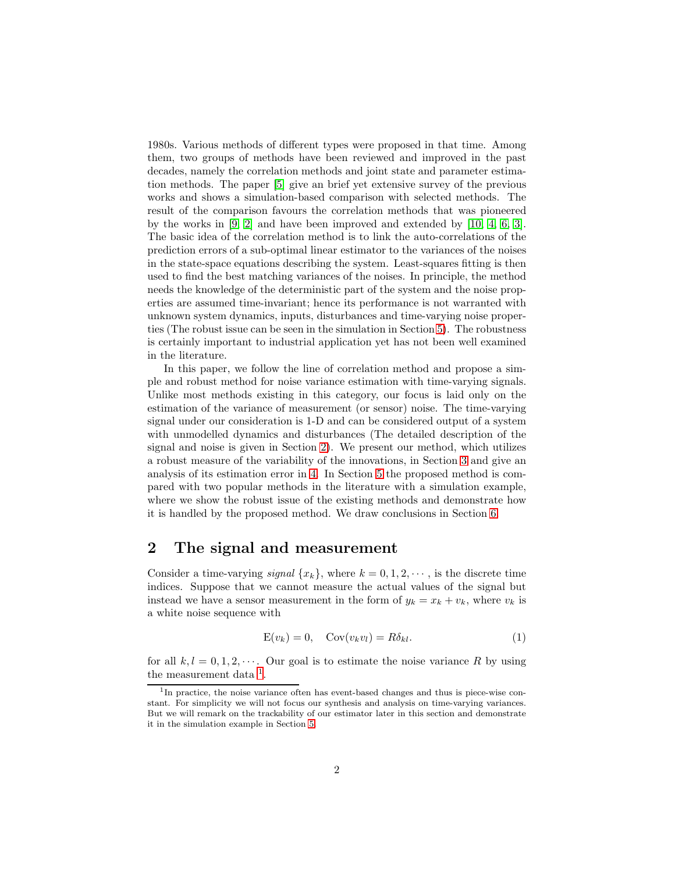1980s. Various methods of different types were proposed in that time. Among them, two groups of methods have been reviewed and improved in the past decades, namely the correlation methods and joint state and parameter estimation methods. The paper [\[5\]](#page-9-5) give an brief yet extensive survey of the previous works and shows a simulation-based comparison with selected methods. The result of the comparison favours the correlation methods that was pioneered by the works in [\[9,](#page-9-0) [2\]](#page-9-1) and have been improved and extended by [\[10,](#page-9-6) [4,](#page-9-7) [6,](#page-9-8) [3\]](#page-9-9). The basic idea of the correlation method is to link the auto-correlations of the prediction errors of a sub-optimal linear estimator to the variances of the noises in the state-space equations describing the system. Least-squares fitting is then used to find the best matching variances of the noises. In principle, the method needs the knowledge of the deterministic part of the system and the noise properties are assumed time-invariant; hence its performance is not warranted with unknown system dynamics, inputs, disturbances and time-varying noise properties (The robust issue can be seen in the simulation in Section [5\)](#page-6-0). The robustness is certainly important to industrial application yet has not been well examined in the literature.

In this paper, we follow the line of correlation method and propose a simple and robust method for noise variance estimation with time-varying signals. Unlike most methods existing in this category, our focus is laid only on the estimation of the variance of measurement (or sensor) noise. The time-varying signal under our consideration is 1-D and can be considered output of a system with unmodelled dynamics and disturbances (The detailed description of the signal and noise is given in Section [2\)](#page-1-0). We present our method, which utilizes a robust measure of the variability of the innovations, in Section [3](#page-2-0) and give an analysis of its estimation error in [4.](#page-4-0) In Section [5](#page-6-0) the proposed method is compared with two popular methods in the literature with a simulation example, where we show the robust issue of the existing methods and demonstrate how it is handled by the proposed method. We draw conclusions in Section [6.](#page-7-0)

#### <span id="page-1-0"></span>2 The signal and measurement

Consider a time-varying *signal*  $\{x_k\}$ , where  $k = 0, 1, 2, \dots$ , is the discrete time indices. Suppose that we cannot measure the actual values of the signal but instead we have a sensor measurement in the form of  $y_k = x_k + v_k$ , where  $v_k$  is a white noise sequence with

<span id="page-1-2"></span>
$$
E(v_k) = 0, \quad Cov(v_k v_l) = R\delta_{kl}.
$$
 (1)

for all  $k, l = 0, 1, 2, \cdots$ . Our goal is to estimate the noise variance R by using the measurement data  $<sup>1</sup>$  $<sup>1</sup>$  $<sup>1</sup>$ .</sup>

<span id="page-1-1"></span><sup>&</sup>lt;sup>1</sup>In practice, the noise variance often has event-based changes and thus is piece-wise constant. For simplicity we will not focus our synthesis and analysis on time-varying variances. But we will remark on the trackability of our estimator later in this section and demonstrate it in the simulation example in Section [5.](#page-6-0)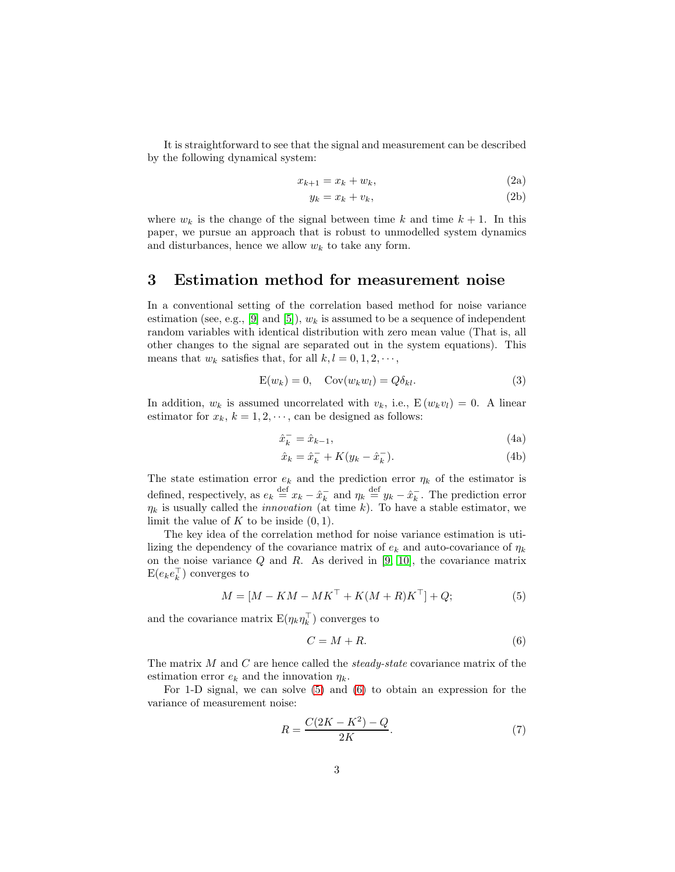It is straightforward to see that the signal and measurement can be described by the following dynamical system:

$$
x_{k+1} = x_k + w_k,\tag{2a}
$$

$$
y_k = x_k + v_k,\tag{2b}
$$

where  $w_k$  is the change of the signal between time k and time  $k + 1$ . In this paper, we pursue an approach that is robust to unmodelled system dynamics and disturbances, hence we allow  $w_k$  to take any form.

### <span id="page-2-0"></span>3 Estimation method for measurement noise

In a conventional setting of the correlation based method for noise variance estimation (see, e.g., [\[9\]](#page-9-0) and [\[5\]](#page-9-5)),  $w_k$  is assumed to be a sequence of independent random variables with identical distribution with zero mean value (That is, all other changes to the signal are separated out in the system equations). This means that  $w_k$  satisfies that, for all  $k, l = 0, 1, 2, \cdots$ ,

<span id="page-2-4"></span>
$$
E(w_k) = 0, \quad Cov(w_k w_l) = Q \delta_{kl}.
$$
\n(3)

In addition,  $w_k$  is assumed uncorrelated with  $v_k$ , i.e.,  $E(w_k v_l) = 0$ . A linear estimator for  $x_k$ ,  $k = 1, 2, \dots$ , can be designed as follows:

<span id="page-2-6"></span><span id="page-2-5"></span>
$$
\hat{x}_k^- = \hat{x}_{k-1},\tag{4a}
$$

$$
\hat{x}_k = \hat{x}_k^- + K(y_k - \hat{x}_k^-). \tag{4b}
$$

The state estimation error  $e_k$  and the prediction error  $\eta_k$  of the estimator is defined, respectively, as  $e_k \stackrel{\text{def}}{=} x_k - \hat{x}_k^ \overline{k}$  and  $\eta_k \stackrel{\text{def}}{=} y_k - \hat{x}_k^ \overline{k}$ . The prediction error  $\eta_k$  is usually called the *innovation* (at time k). To have a stable estimator, we limit the value of  $K$  to be inside  $(0, 1)$ .

The key idea of the correlation method for noise variance estimation is utilizing the dependency of the covariance matrix of  $e_k$  and auto-covariance of  $\eta_k$ on the noise variance  $Q$  and  $R$ . As derived in [\[9,](#page-9-0) [10\]](#page-9-6), the covariance matrix  $\mathbf{E}(e_k e_k^\top)$  converges to

<span id="page-2-1"></span>
$$
M = [M - KM - MK^{\top} + K(M + R)K^{\top}] + Q; \tag{5}
$$

and the covariance matrix  $E(\eta_k \eta_k^{\top})$  converges to

<span id="page-2-3"></span><span id="page-2-2"></span>
$$
C = M + R.\t\t(6)
$$

The matrix  $M$  and  $C$  are hence called the *steady-state* covariance matrix of the estimation error  $e_k$  and the innovation  $\eta_k$ .

For 1-D signal, we can solve [\(5\)](#page-2-1) and [\(6\)](#page-2-2) to obtain an expression for the variance of measurement noise:

$$
R = \frac{C(2K - K^2) - Q}{2K}.
$$
\n(7)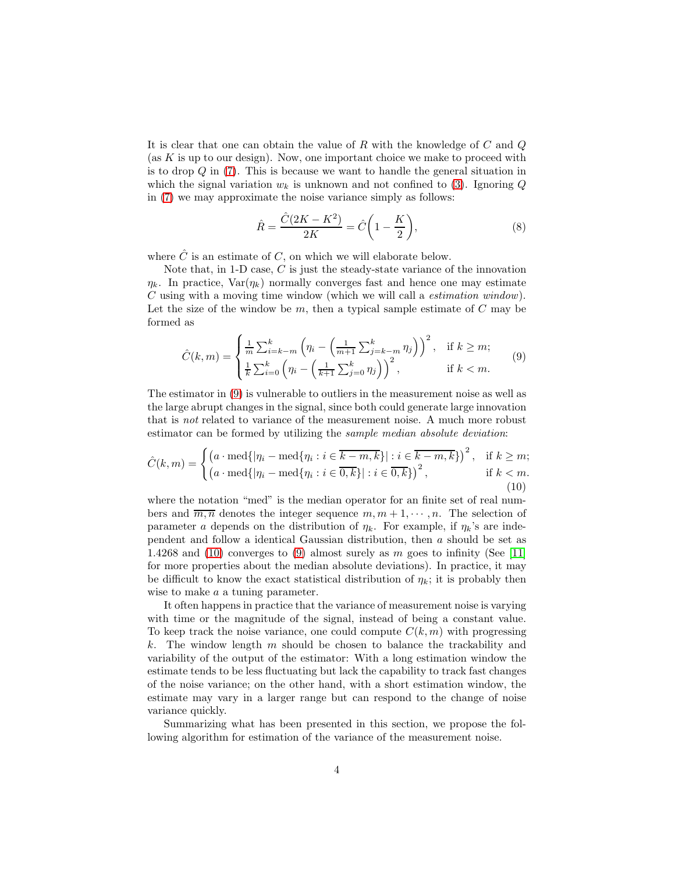It is clear that one can obtain the value of R with the knowledge of  $C$  and  $Q$ (as  $K$  is up to our design). Now, one important choice we make to proceed with is to drop Q in [\(7\)](#page-2-3). This is because we want to handle the general situation in which the signal variation  $w_k$  is unknown and not confined to [\(3\)](#page-2-4). Ignoring Q in [\(7\)](#page-2-3) we may approximate the noise variance simply as follows:

$$
\hat{R} = \frac{\hat{C}(2K - K^2)}{2K} = \hat{C}\left(1 - \frac{K}{2}\right),
$$
\n(8)

where  $\hat{C}$  is an estimate of  $C$ , on which we will elaborate below.

Note that, in 1-D case,  $C$  is just the steady-state variance of the innovation  $\eta_k$ . In practice,  $\text{Var}(\eta_k)$  normally converges fast and hence one may estimate C using with a moving time window (which we will call a estimation window). Let the size of the window be  $m$ , then a typical sample estimate of  $C$  may be formed as

<span id="page-3-0"></span>
$$
\hat{C}(k,m) = \begin{cases} \frac{1}{m} \sum_{i=k-m}^{k} \left( \eta_i - \left( \frac{1}{m+1} \sum_{j=k-m}^{k} \eta_j \right) \right)^2, & \text{if } k \ge m; \\ \frac{1}{k} \sum_{i=0}^{k} \left( \eta_i - \left( \frac{1}{k+1} \sum_{j=0}^{k} \eta_j \right) \right)^2, & \text{if } k < m. \end{cases}
$$
(9)

The estimator in [\(9\)](#page-3-0) is vulnerable to outliers in the measurement noise as well as the large abrupt changes in the signal, since both could generate large innovation that is not related to variance of the measurement noise. A much more robust estimator can be formed by utilizing the sample median absolute deviation:

<span id="page-3-1"></span>
$$
\hat{C}(k,m) = \begin{cases} \left( a \cdot \text{med}\{ |\eta_i - \text{med}\{\eta_i : i \in \overline{k-m, k}\} | : i \in \overline{k-m, k}\} \right)^2, & \text{if } k \ge m; \\ \left( a \cdot \text{med}\{ |\eta_i - \text{med}\{\eta_i : i \in \overline{0, k}\} | : i \in \overline{0, k}\} \right)^2, & \text{if } k < m. \end{cases}
$$
(10)

where the notation "med" is the median operator for an finite set of real numbers and  $\overline{m,n}$  denotes the integer sequence  $m, m+1, \dots, n$ . The selection of parameter a depends on the distribution of  $\eta_k$ . For example, if  $\eta_k$ 's are independent and follow a identical Gaussian distribution, then a should be set as 1.4268 and [\(10\)](#page-3-1) converges to [\(9\)](#page-3-0) almost surely as  $m$  goes to infinity (See [\[11\]](#page-9-10) for more properties about the median absolute deviations). In practice, it may be difficult to know the exact statistical distribution of  $\eta_k$ ; it is probably then wise to make a a tuning parameter.

It often happens in practice that the variance of measurement noise is varying with time or the magnitude of the signal, instead of being a constant value. To keep track the noise variance, one could compute  $C(k, m)$  with progressing k. The window length m should be chosen to balance the trackability and variability of the output of the estimator: With a long estimation window the estimate tends to be less fluctuating but lack the capability to track fast changes of the noise variance; on the other hand, with a short estimation window, the estimate may vary in a larger range but can respond to the change of noise variance quickly.

Summarizing what has been presented in this section, we propose the following algorithm for estimation of the variance of the measurement noise.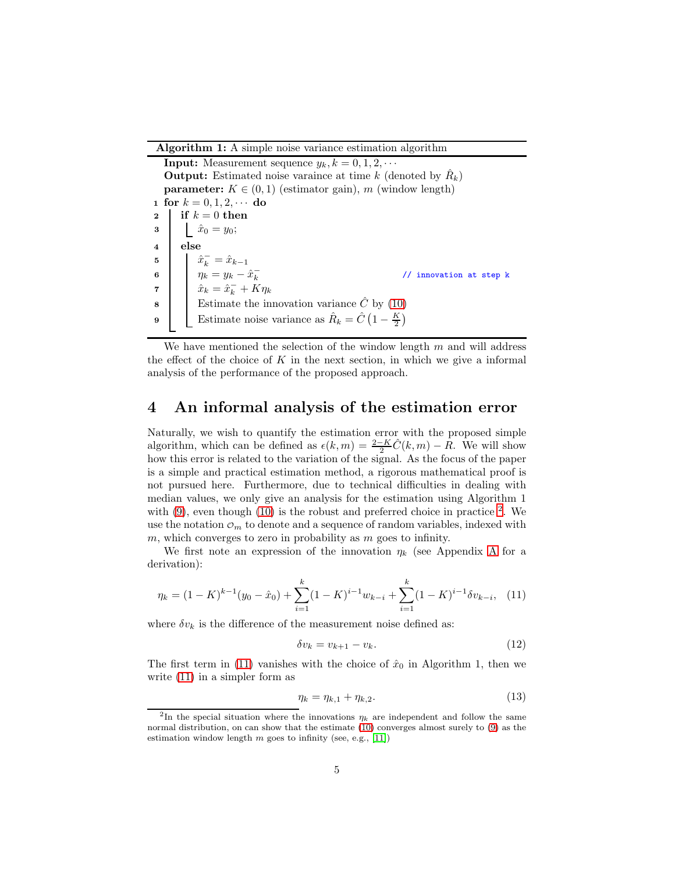Algorithm 1: A simple noise variance estimation algorithm

**Input:** Measurement sequence  $y_k, k = 0, 1, 2, \cdots$ **Output:** Estimated noise varaince at time k (denoted by  $\hat{R}_k$ ) **parameter:**  $K \in (0, 1)$  (estimator gain), m (window length) 1 for  $k = 0, 1, 2, \cdots$  do 2 if  $k = 0$  then **3**  $\hat{x}_0 = y_0;$ 4 else 5  $\hat{x}_k^- = \hat{x}_{k-1}$ 6  $\eta_k = y_k - \hat{x}_k^ \hat{x}_k = \hat{x}_k - x_k$ <br>  $\hat{x}_k = \hat{x}_k - K \eta_k$ // innovation at step k 8 Estimate the innovation variance  $\hat{C}$  by [\(10\)](#page-3-1) 9 Estimate noise variance as  $\hat{R}_k = \hat{C} \left( 1 - \frac{K}{2} \right)$  $\frac{K}{2}$ 

We have mentioned the selection of the window length  $m$  and will address the effect of the choice of  $K$  in the next section, in which we give a informal analysis of the performance of the proposed approach.

#### <span id="page-4-0"></span>4 An informal analysis of the estimation error

Naturally, we wish to quantify the estimation error with the proposed simple algorithm, which can be defined as  $\epsilon(k,m) = \frac{2-K}{2}\hat{C}(k,m) - R$ . We will show how this error is related to the variation of the signal. As the focus of the paper is a simple and practical estimation method, a rigorous mathematical proof is not pursued here. Furthermore, due to technical difficulties in dealing with median values, we only give an analysis for the estimation using Algorithm 1 with  $(9)$ , even though  $(10)$  is the robust and preferred choice in practice  $^2$  $^2$ . We use the notation  $\mathcal{O}_m$  to denote and a sequence of random variables, indexed with  $m$ , which converges to zero in probability as  $m$  goes to infinity.

We first note an expression of the innovation  $\eta_k$  (see [A](#page-8-1)ppendix A for a derivation):

$$
\eta_k = (1 - K)^{k-1} (y_0 - \hat{x}_0) + \sum_{i=1}^k (1 - K)^{i-1} w_{k-i} + \sum_{i=1}^k (1 - K)^{i-1} \delta v_{k-i}, \tag{11}
$$

where  $\delta v_k$  is the difference of the measurement noise defined as:

<span id="page-4-3"></span><span id="page-4-2"></span>
$$
\delta v_k = v_{k+1} - v_k. \tag{12}
$$

The first term in [\(11\)](#page-4-2) vanishes with the choice of  $\hat{x}_0$  in Algorithm 1, then we write [\(11\)](#page-4-2) in a simpler form as

$$
\eta_k = \eta_{k,1} + \eta_{k,2}.\tag{13}
$$

<span id="page-4-1"></span><sup>&</sup>lt;sup>2</sup>In the special situation where the innovations  $\eta_k$  are independent and follow the same normal distribution, on can show that the estimate [\(10\)](#page-3-1) converges almost surely to [\(9\)](#page-3-0) as the estimation window length  $m$  goes to infinity (see, e.g., [\[11\]](#page-9-10))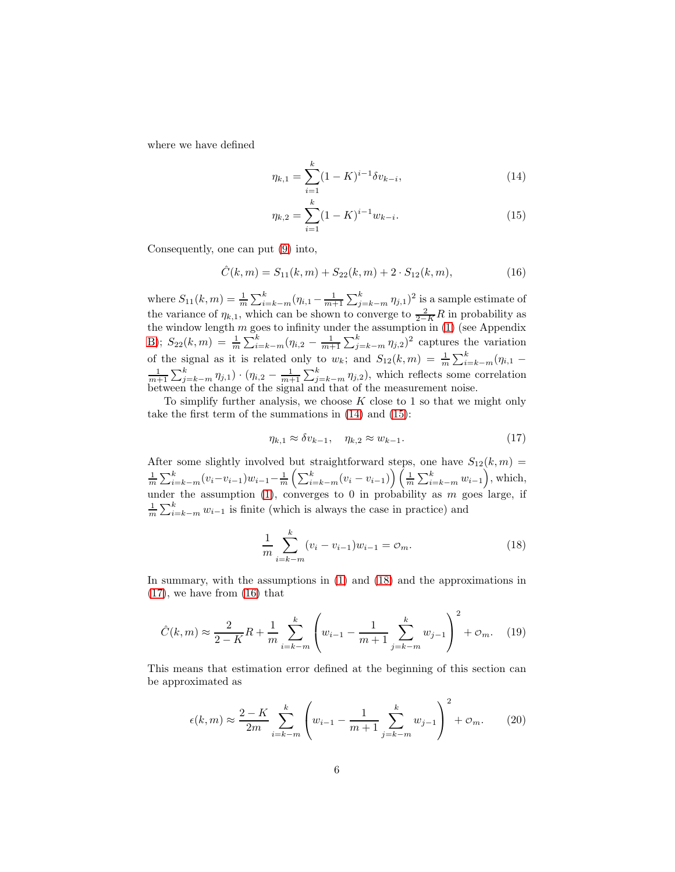where we have defined

<span id="page-5-0"></span>
$$
\eta_{k,1} = \sum_{i=1}^{k} (1 - K)^{i-1} \delta v_{k-i},\tag{14}
$$

<span id="page-5-4"></span><span id="page-5-1"></span>
$$
\eta_{k,2} = \sum_{i=1}^{k} (1 - K)^{i-1} w_{k-i}.
$$
\n(15)

Consequently, one can put [\(9\)](#page-3-0) into,

$$
\hat{C}(k,m) = S_{11}(k,m) + S_{22}(k,m) + 2 \cdot S_{12}(k,m), \tag{16}
$$

where  $S_{11}(k,m) = \frac{1}{m} \sum_{i=k-m}^{k} (\eta_{i,1} - \frac{1}{m+1} \sum_{j=k-m}^{k} \eta_{j,1})^2$  is a sample estimate of the variance of  $\eta_{k,1}$ , which can be shown to converge to  $\frac{2}{2-K}R$  in probability as the window length  $m$  goes to infinity under the assumption in  $(1)$  (see Appendix [B\)](#page-8-2);  $S_{22}(k,m) = \frac{1}{m} \sum_{i=k-m}^{k} (\eta_{i,2} - \frac{1}{m+1} \sum_{j=k-m}^{k} \eta_{j,2})^2$  captures the variation of the signal as it is related only to  $w_k$ ; and  $S_{12}(k,m) = \frac{1}{m} \sum_{i=k-m}^{k} (\eta_{i,1} \frac{1}{m+1}\sum_{j=k-m}^{k} \eta_{j,1} \cdot (\eta_{i,2} - \frac{1}{m+1}\sum_{j=k-m}^{k} \eta_{j,2}),$  which reflects some correlation between the change of the signal and that of the measurement noise.

To simplify further analysis, we choose  $K$  close to 1 so that we might only take the first term of the summations in [\(14\)](#page-5-0) and [\(15\)](#page-5-1):

<span id="page-5-3"></span>
$$
\eta_{k,1} \approx \delta v_{k-1}, \quad \eta_{k,2} \approx w_{k-1}.\tag{17}
$$

After some slightly involved but straightforward steps, one have  $S_{12}(k,m)$  =  $\frac{1}{m}\sum_{i=k-m}^{k} (v_i-v_{i-1})w_{i-1} - \frac{1}{m}\left(\sum_{i=k-m}^{k} (v_i-v_{i-1})\right)\left(\frac{1}{m}\sum_{i=k-m}^{k} w_{i-1}\right)$ , which, under the assumption [\(1\)](#page-1-2), converges to 0 in probability as  $m$  goes large, if  $\frac{1}{m} \sum_{i=k-m}^{k} w_{i-1}$  is finite (which is always the case in practice) and

<span id="page-5-5"></span><span id="page-5-2"></span>
$$
\frac{1}{m} \sum_{i=k-m}^{k} (v_i - v_{i-1}) w_{i-1} = o_m.
$$
\n(18)

In summary, with the assumptions in [\(1\)](#page-1-2) and [\(18\)](#page-5-2) and the approximations in [\(17\)](#page-5-3), we have from [\(16\)](#page-5-4) that

$$
\hat{C}(k,m) \approx \frac{2}{2-K}R + \frac{1}{m}\sum_{i=k-m}^{k} \left(w_{i-1} - \frac{1}{m+1}\sum_{j=k-m}^{k} w_{j-1}\right)^2 + \mathcal{O}_m.
$$
 (19)

This means that estimation error defined at the beginning of this section can be approximated as

$$
\epsilon(k,m) \approx \frac{2-K}{2m} \sum_{i=k-m}^{k} \left( w_{i-1} - \frac{1}{m+1} \sum_{j=k-m}^{k} w_{j-1} \right)^2 + \mathcal{O}_m.
$$
 (20)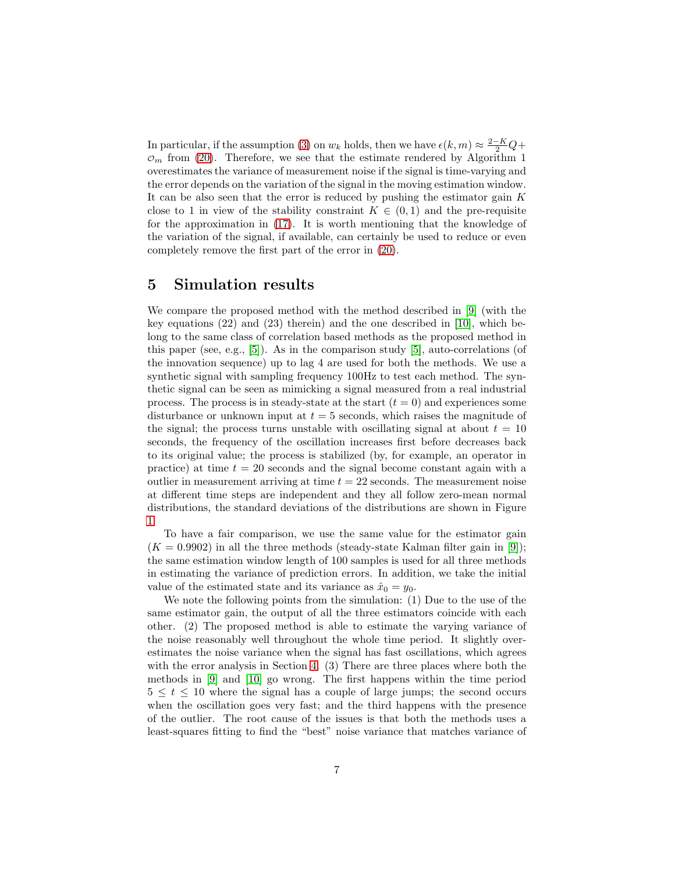In particular, if the assumption [\(3\)](#page-2-4) on  $w_k$  holds, then we have  $\epsilon(k, m) \approx \frac{2-K}{2}Q +$  $\mathcal{O}_m$  from [\(20\)](#page-5-5). Therefore, we see that the estimate rendered by Algorithm 1 overestimates the variance of measurement noise if the signal is time-varying and the error depends on the variation of the signal in the moving estimation window. It can be also seen that the error is reduced by pushing the estimator gain  $K$ close to 1 in view of the stability constraint  $K \in (0,1)$  and the pre-requisite for the approximation in [\(17\)](#page-5-3). It is worth mentioning that the knowledge of the variation of the signal, if available, can certainly be used to reduce or even completely remove the first part of the error in [\(20\)](#page-5-5).

### <span id="page-6-0"></span>5 Simulation results

We compare the proposed method with the method described in [\[9\]](#page-9-0) (with the key equations (22) and (23) therein) and the one described in [\[10\]](#page-9-6), which belong to the same class of correlation based methods as the proposed method in this paper (see, e.g., [\[5\]](#page-9-5)). As in the comparison study [\[5\]](#page-9-5), auto-correlations (of the innovation sequence) up to lag 4 are used for both the methods. We use a synthetic signal with sampling frequency 100Hz to test each method. The synthetic signal can be seen as mimicking a signal measured from a real industrial process. The process is in steady-state at the start  $(t = 0)$  and experiences some disturbance or unknown input at  $t = 5$  seconds, which raises the magnitude of the signal; the process turns unstable with oscillating signal at about  $t = 10$ seconds, the frequency of the oscillation increases first before decreases back to its original value; the process is stabilized (by, for example, an operator in practice) at time  $t = 20$  seconds and the signal become constant again with a outlier in measurement arriving at time  $t = 22$  seconds. The measurement noise at different time steps are independent and they all follow zero-mean normal distributions, the standard deviations of the distributions are shown in Figure [1.](#page-7-1)

To have a fair comparison, we use the same value for the estimator gain  $(K = 0.9902)$  in all the three methods (steady-state Kalman filter gain in [\[9\]](#page-9-0)); the same estimation window length of 100 samples is used for all three methods in estimating the variance of prediction errors. In addition, we take the initial value of the estimated state and its variance as  $\hat{x}_0 = y_0$ .

We note the following points from the simulation: (1) Due to the use of the same estimator gain, the output of all the three estimators coincide with each other. (2) The proposed method is able to estimate the varying variance of the noise reasonably well throughout the whole time period. It slightly overestimates the noise variance when the signal has fast oscillations, which agrees with the error analysis in Section [4.](#page-4-0) (3) There are three places where both the methods in [\[9\]](#page-9-0) and [\[10\]](#page-9-6) go wrong. The first happens within the time period  $5 \leq t \leq 10$  where the signal has a couple of large jumps; the second occurs when the oscillation goes very fast; and the third happens with the presence of the outlier. The root cause of the issues is that both the methods uses a least-squares fitting to find the "best" noise variance that matches variance of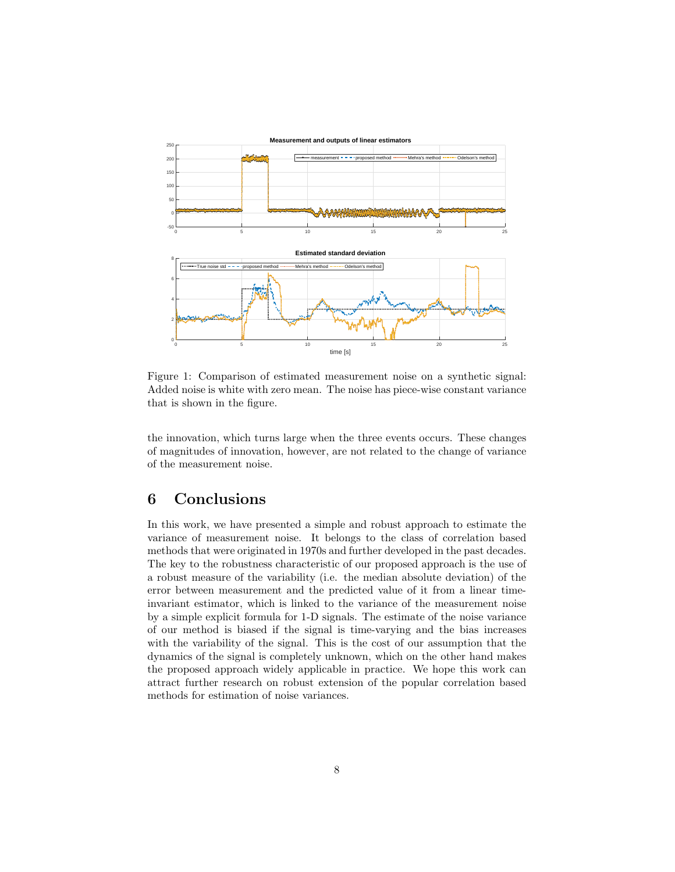

<span id="page-7-1"></span>Figure 1: Comparison of estimated measurement noise on a synthetic signal: Added noise is white with zero mean. The noise has piece-wise constant variance that is shown in the figure.

the innovation, which turns large when the three events occurs. These changes of magnitudes of innovation, however, are not related to the change of variance of the measurement noise.

## <span id="page-7-0"></span>6 Conclusions

In this work, we have presented a simple and robust approach to estimate the variance of measurement noise. It belongs to the class of correlation based methods that were originated in 1970s and further developed in the past decades. The key to the robustness characteristic of our proposed approach is the use of a robust measure of the variability (i.e. the median absolute deviation) of the error between measurement and the predicted value of it from a linear timeinvariant estimator, which is linked to the variance of the measurement noise by a simple explicit formula for 1-D signals. The estimate of the noise variance of our method is biased if the signal is time-varying and the bias increases with the variability of the signal. This is the cost of our assumption that the dynamics of the signal is completely unknown, which on the other hand makes the proposed approach widely applicable in practice. We hope this work can attract further research on robust extension of the popular correlation based methods for estimation of noise variances.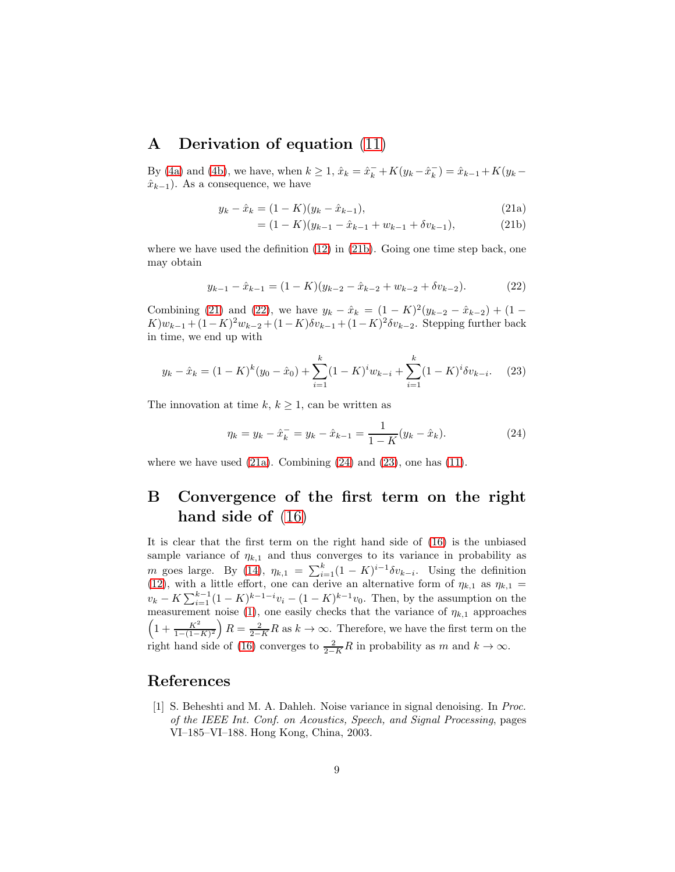# <span id="page-8-1"></span>A Derivation of equation [\(11\)](#page-4-2)

By [\(4a\)](#page-2-5) and [\(4b\)](#page-2-6), we have, when  $k \ge 1$ ,  $\hat{x}_k = \hat{x}_k^- + K(y_k - \hat{x}_k^-)$  $\binom{-}{k} = \hat{x}_{k-1} + K(y_k \hat{x}_{k-1}$ ). As a consequence, we have

$$
y_k - \hat{x}_k = (1 - K)(y_k - \hat{x}_{k-1}),
$$
\n(21a)

<span id="page-8-6"></span><span id="page-8-5"></span><span id="page-8-4"></span><span id="page-8-3"></span>
$$
= (1 - K)(y_{k-1} - \hat{x}_{k-1} + w_{k-1} + \delta v_{k-1}), \tag{21b}
$$

where we have used the definition [\(12\)](#page-4-3) in [\(21b\)](#page-8-3). Going one time step back, one may obtain

$$
y_{k-1} - \hat{x}_{k-1} = (1 - K)(y_{k-2} - \hat{x}_{k-2} + w_{k-2} + \delta v_{k-2}).
$$
 (22)

Combining [\(21\)](#page-8-4) and [\(22\)](#page-8-5), we have  $y_k - \hat{x}_k = (1 - K)^2 (y_{k-2} - \hat{x}_{k-2}) + (1 (K)w_{k-1} + (1 - K)^2 w_{k-2} + (1 - K)\delta v_{k-1} + (1 - K)^2 \delta v_{k-2}$ . Stepping further back in time, we end up with

$$
y_k - \hat{x}_k = (1 - K)^k (y_0 - \hat{x}_0) + \sum_{i=1}^k (1 - K)^i w_{k-i} + \sum_{i=1}^k (1 - K)^i \delta v_{k-i}.
$$
 (23)

The innovation at time  $k, k \geq 1$ , can be written as

<span id="page-8-8"></span><span id="page-8-7"></span>
$$
\eta_k = y_k - \hat{x}_k^- = y_k - \hat{x}_{k-1} = \frac{1}{1 - K}(y_k - \hat{x}_k). \tag{24}
$$

where we have used  $(21a)$ . Combining  $(24)$  and  $(23)$ , one has  $(11)$ .

# <span id="page-8-2"></span>B Convergence of the first term on the right hand side of  $(16)$

It is clear that the first term on the right hand side of [\(16\)](#page-5-4) is the unbiased sample variance of  $\eta_{k,1}$  and thus converges to its variance in probability as m goes large. By [\(14\)](#page-5-0),  $\eta_{k,1} = \sum_{i=1}^{k} (1 - K)^{i-1} \delta v_{k-i}$ . Using the definition [\(12\)](#page-4-3), with a little effort, one can derive an alternative form of  $\eta_{k,1}$  as  $\eta_{k,1}$  =  $v_k - K \sum_{i=1}^{k-1} (1 - K)^{k-1-i} v_i - (1 - K)^{k-1} v_0$ . Then, by the assumption on the measurement noise [\(1\)](#page-1-2), one easily checks that the variance of  $\eta_{k,1}$  approaches  $\left(1+\frac{K^2}{1-(1-K)^2}\right)R=\frac{2}{2-K}R$  as  $k\to\infty$ . Therefore, we have the first term on the right hand side of [\(16\)](#page-5-4) converges to  $\frac{2}{2-K}R$  in probability as m and  $k \to \infty$ .

#### <span id="page-8-0"></span>References

[1] S. Beheshti and M. A. Dahleh. Noise variance in signal denoising. In Proc. of the IEEE Int. Conf. on Acoustics, Speech, and Signal Processing, pages VI–185–VI–188. Hong Kong, China, 2003.